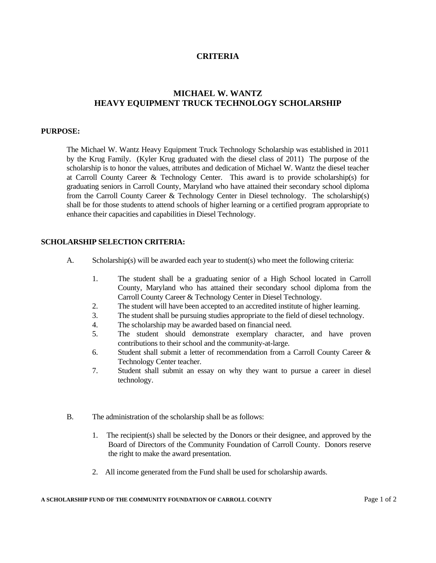# **CRITERIA**

# **MICHAEL W. WANTZ HEAVY EQUIPMENT TRUCK TECHNOLOGY SCHOLARSHIP**

# **PURPOSE:**

The Michael W. Wantz Heavy Equipment Truck Technology Scholarship was established in 2011 by the Krug Family. (Kyler Krug graduated with the diesel class of 2011) The purpose of the scholarship is to honor the values, attributes and dedication of Michael W. Wantz the diesel teacher at Carroll County Career & Technology Center. This award is to provide scholarship(s) for graduating seniors in Carroll County, Maryland who have attained their secondary school diploma from the Carroll County Career & Technology Center in Diesel technology. The scholarship(s) shall be for those students to attend schools of higher learning or a certified program appropriate to enhance their capacities and capabilities in Diesel Technology.

# **SCHOLARSHIP SELECTION CRITERIA:**

- A. Scholarship(s) will be awarded each year to student(s) who meet the following criteria:
	- 1. The student shall be a graduating senior of a High School located in Carroll County, Maryland who has attained their secondary school diploma from the Carroll County Career & Technology Center in Diesel Technology.
	- 2. The student will have been accepted to an accredited institute of higher learning.
	- 3. The student shall be pursuing studies appropriate to the field of diesel technology.
	- 4. The scholarship may be awarded based on financial need.
	- 5. The student should demonstrate exemplary character, and have proven contributions to their school and the community-at-large.
	- 6. Student shall submit a letter of recommendation from a Carroll County Career & Technology Center teacher.
	- 7. Student shall submit an essay on why they want to pursue a career in diesel technology.
- B. The administration of the scholarship shall be as follows:
	- 1. The recipient(s) shall be selected by the Donors or their designee, and approved by the Board of Directors of the Community Foundation of Carroll County. Donors reserve the right to make the award presentation.
	- 2. All income generated from the Fund shall be used for scholarship awards.

#### **A SCHOLARSHIP FUND OF THE COMMUNITY FOUNDATION OF CARROLL COUNTY** Page 1 of 2